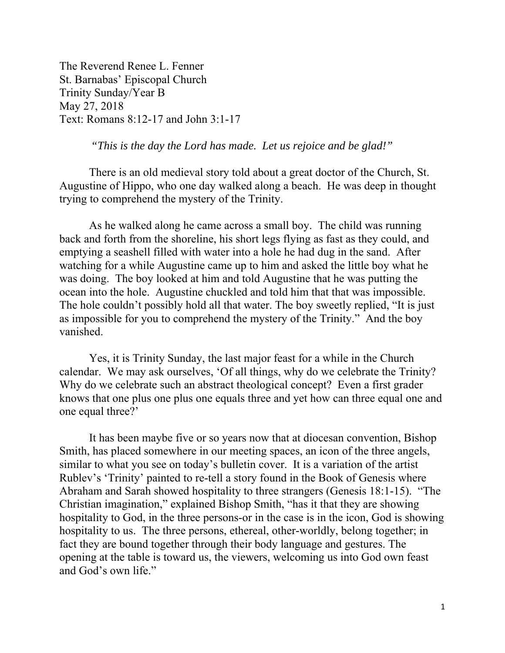The Reverend Renee L. Fenner St. Barnabas' Episcopal Church Trinity Sunday/Year B May 27, 2018 Text: Romans 8:12-17 and John 3:1-17

 *"This is the day the Lord has made. Let us rejoice and be glad!"* 

 There is an old medieval story told about a great doctor of the Church, St. Augustine of Hippo, who one day walked along a beach. He was deep in thought trying to comprehend the mystery of the Trinity.

 As he walked along he came across a small boy. The child was running back and forth from the shoreline, his short legs flying as fast as they could, and emptying a seashell filled with water into a hole he had dug in the sand. After watching for a while Augustine came up to him and asked the little boy what he was doing. The boy looked at him and told Augustine that he was putting the ocean into the hole. Augustine chuckled and told him that that was impossible. The hole couldn't possibly hold all that water. The boy sweetly replied, "It is just as impossible for you to comprehend the mystery of the Trinity." And the boy vanished.

 Yes, it is Trinity Sunday, the last major feast for a while in the Church calendar. We may ask ourselves, 'Of all things, why do we celebrate the Trinity? Why do we celebrate such an abstract theological concept? Even a first grader knows that one plus one plus one equals three and yet how can three equal one and one equal three?'

 It has been maybe five or so years now that at diocesan convention, Bishop Smith, has placed somewhere in our meeting spaces, an icon of the three angels, similar to what you see on today's bulletin cover. It is a variation of the artist Rublev's 'Trinity' painted to re-tell a story found in the Book of Genesis where Abraham and Sarah showed hospitality to three strangers (Genesis 18:1-15). "The Christian imagination," explained Bishop Smith, "has it that they are showing hospitality to God, in the three persons-or in the case is in the icon, God is showing hospitality to us. The three persons, ethereal, other-worldly, belong together; in fact they are bound together through their body language and gestures. The opening at the table is toward us, the viewers, welcoming us into God own feast and God's own life."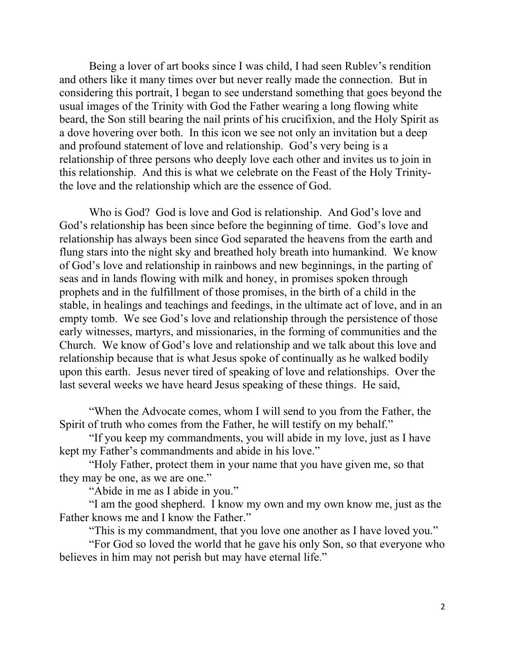Being a lover of art books since I was child, I had seen Rublev's rendition and others like it many times over but never really made the connection. But in considering this portrait, I began to see understand something that goes beyond the usual images of the Trinity with God the Father wearing a long flowing white beard, the Son still bearing the nail prints of his crucifixion, and the Holy Spirit as a dove hovering over both. In this icon we see not only an invitation but a deep and profound statement of love and relationship. God's very being is a relationship of three persons who deeply love each other and invites us to join in this relationship. And this is what we celebrate on the Feast of the Holy Trinitythe love and the relationship which are the essence of God.

 Who is God? God is love and God is relationship. And God's love and God's relationship has been since before the beginning of time. God's love and relationship has always been since God separated the heavens from the earth and flung stars into the night sky and breathed holy breath into humankind. We know of God's love and relationship in rainbows and new beginnings, in the parting of seas and in lands flowing with milk and honey, in promises spoken through prophets and in the fulfillment of those promises, in the birth of a child in the stable, in healings and teachings and feedings, in the ultimate act of love, and in an empty tomb. We see God's love and relationship through the persistence of those early witnesses, martyrs, and missionaries, in the forming of communities and the Church. We know of God's love and relationship and we talk about this love and relationship because that is what Jesus spoke of continually as he walked bodily upon this earth. Jesus never tired of speaking of love and relationships. Over the last several weeks we have heard Jesus speaking of these things. He said,

 "When the Advocate comes, whom I will send to you from the Father, the Spirit of truth who comes from the Father, he will testify on my behalf."

 "If you keep my commandments, you will abide in my love, just as I have kept my Father's commandments and abide in his love."

 "Holy Father, protect them in your name that you have given me, so that they may be one, as we are one."

"Abide in me as I abide in you."

 "I am the good shepherd. I know my own and my own know me, just as the Father knows me and I know the Father."

"This is my commandment, that you love one another as I have loved you."

 "For God so loved the world that he gave his only Son, so that everyone who believes in him may not perish but may have eternal life."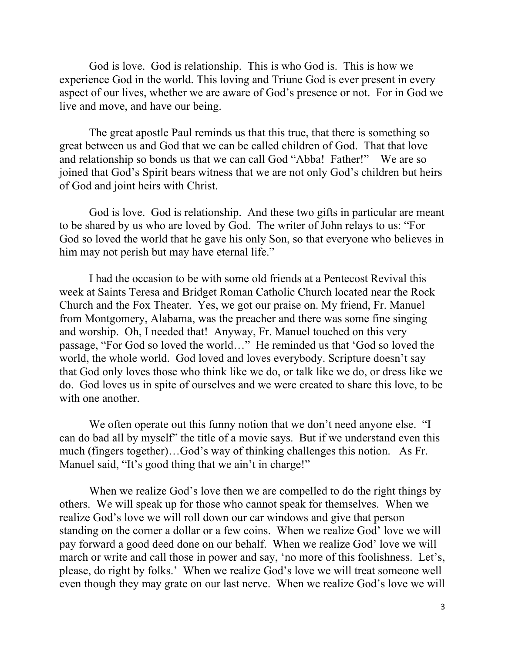God is love. God is relationship. This is who God is. This is how we experience God in the world. This loving and Triune God is ever present in every aspect of our lives, whether we are aware of God's presence or not. For in God we live and move, and have our being.

 The great apostle Paul reminds us that this true, that there is something so great between us and God that we can be called children of God. That that love and relationship so bonds us that we can call God "Abba! Father!" We are so joined that God's Spirit bears witness that we are not only God's children but heirs of God and joint heirs with Christ.

God is love. God is relationship. And these two gifts in particular are meant to be shared by us who are loved by God. The writer of John relays to us: "For God so loved the world that he gave his only Son, so that everyone who believes in him may not perish but may have eternal life."

I had the occasion to be with some old friends at a Pentecost Revival this week at Saints Teresa and Bridget Roman Catholic Church located near the Rock Church and the Fox Theater. Yes, we got our praise on. My friend, Fr. Manuel from Montgomery, Alabama, was the preacher and there was some fine singing and worship. Oh, I needed that! Anyway, Fr. Manuel touched on this very passage, "For God so loved the world…" He reminded us that 'God so loved the world, the whole world. God loved and loves everybody. Scripture doesn't say that God only loves those who think like we do, or talk like we do, or dress like we do. God loves us in spite of ourselves and we were created to share this love, to be with one another.

We often operate out this funny notion that we don't need anyone else. "I can do bad all by myself" the title of a movie says. But if we understand even this much (fingers together)…God's way of thinking challenges this notion. As Fr. Manuel said, "It's good thing that we ain't in charge!"

When we realize God's love then we are compelled to do the right things by others. We will speak up for those who cannot speak for themselves. When we realize God's love we will roll down our car windows and give that person standing on the corner a dollar or a few coins. When we realize God' love we will pay forward a good deed done on our behalf. When we realize God' love we will march or write and call those in power and say, 'no more of this foolishness. Let's, please, do right by folks.' When we realize God's love we will treat someone well even though they may grate on our last nerve. When we realize God's love we will